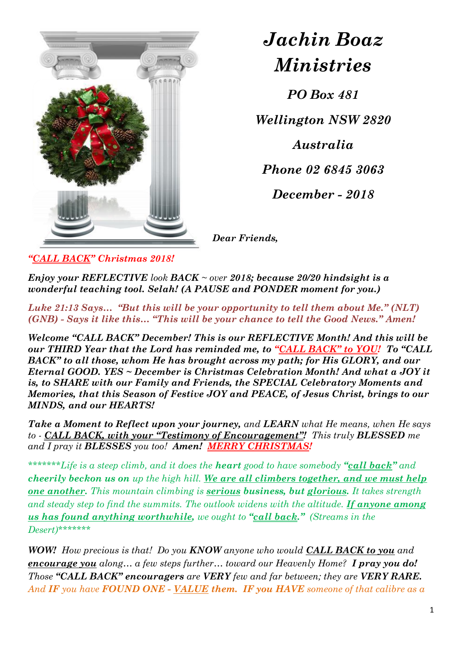

*Jachin Boaz Ministries*

*PO Box 481*

*Wellington NSW 2820*

*Australia*

*Phone 02 6845 3063*

*December - 2018*

*Dear Friends,* 

*"CALL BACK" Christmas 2018!*

*Enjoy your REFLECTIVE look BACK ~ over 2018; because 20/20 hindsight is a wonderful teaching tool. Selah! (A PAUSE and PONDER moment for you.)*

*Luke 21:13 Says… "But this will be your opportunity to tell them about Me." (NLT) (GNB) - Says it like this… "This will be your chance to tell the Good News." Amen!*

*Welcome "CALL BACK" December! This is our REFLECTIVE Month! And this will be our THIRD Year that the Lord has reminded me, to "CALL BACK" to YOU! To "CALL BACK" to all those, whom He has brought across my path; for His GLORY, and our Eternal GOOD. YES ~ December is Christmas Celebration Month! And what a JOY it is, to SHARE with our Family and Friends, the SPECIAL Celebratory Moments and Memories, that this Season of Festive JOY and PEACE, of Jesus Christ, brings to our MINDS, and our HEARTS!* 

*Take a Moment to Reflect upon your journey, and LEARN what He means, when He says to - CALL BACK, with your "Testimony of Encouragement"! This truly BLESSED me and I pray it BLESSES you too! Amen! MERRY CHRISTMAS!*

*\*\*\*\*\*\*\*Life is a steep climb, and it does the heart good to have somebody "call back" and cheerily beckon us on up the high hill. We are all climbers together, and we must help one another. This mountain climbing is serious business, but glorious. It takes strength and steady step to find the summits. The outlook widens with the altitude. If anyone among us has found anything worthwhile, we ought to "call back." (Streams in the Desert)\*\*\*\*\*\*\**

*WOW! How precious is that! Do you KNOW anyone who would CALL BACK to you and encourage you along… a few steps further… toward our Heavenly Home? I pray you do! Those "CALL BACK" encouragers are VERY few and far between; they are VERY RARE. And IF you have FOUND ONE - VALUE them. IF you HAVE someone of that calibre as a*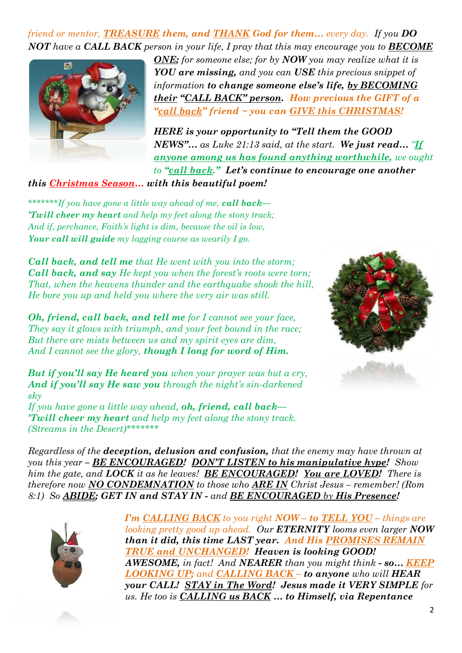*friend or mentor, TREASURE them, and THANK God for them… every day. If you DO NOT have a CALL BACK person in your life, I pray that this may encourage you to BECOME* 



*ONE; for someone else; for by NOW you may realize what it is YOU are missing, and you can USE this precious snippet of information to change someone else's life, by BECOMING their "CALL BACK" person. How precious the GIFT of a "call back" friend ~ you can GIVE this CHRISTMAS!* 

*HERE is your opportunity to "Tell them the GOOD NEWS"… as Luke 21:13 said, at the start. We just read… "If anyone among us has found anything worthwhile, we ought to "call back." Let's continue to encourage one another* 

*this Christmas Season… with this beautiful poem!* 

*\*\*\*\*\*\*\*If you have gone a little way ahead of me, call back— 'Twill cheer my heart and help my feet along the stony track; And if, perchance, Faith's light is dim, because the oil is low, Your call will guide my lagging course as wearily I go.*

*Call back, and tell me that He went with you into the storm; Call back, and say He kept you when the forest's roots were torn; That, when the heavens thunder and the earthquake shook the hill, He bore you up and held you where the very air was still.*

*Oh, friend, call back, and tell me for I cannot see your face, They say it glows with triumph, and your feet bound in the race; But there are mists between us and my spirit eyes are dim, And I cannot see the glory, though I long for word of Him.*

*But if you'll say He heard you when your prayer was but a cry, And if you'll say He saw you through the night's sin-darkened sky*

*If you have gone a little way ahead, oh, friend, call back— 'Twill cheer my heart and help my feet along the stony track. (Streams in the Desert)\*\*\*\*\*\*\**



*Regardless of the deception, delusion and confusion, that the enemy may have thrown at you this year – BE ENCOURAGED! DON'T LISTEN to his manipulative hype! Show him the gate, and LOCK it as he leaves! BE ENCOURAGED! You are LOVED! There is therefore now NO CONDEMNATION to those who ARE IN Christ Jesus – remember! (Rom 8:1) So ABIDE; GET IN and STAY IN - and BE ENCOURAGED by His Presence!*



*I'm CALLING BACK to you right NOW – to TELL YOU – things are looking pretty good up ahead. Our ETERNITY looms even larger NOW than it did, this time LAST year. And His PROMISES REMAIN TRUE and UNCHANGED! Heaven is looking GOOD! AWESOME, in fact! And NEARER than you might think - so… KEEP LOOKING UP; and CALLING BACK – to anyone who will HEAR your CALL! STAY in The Word! Jesus made it VERY SIMPLE for us. He too is CALLING us BACK … to Himself, via Repentance*